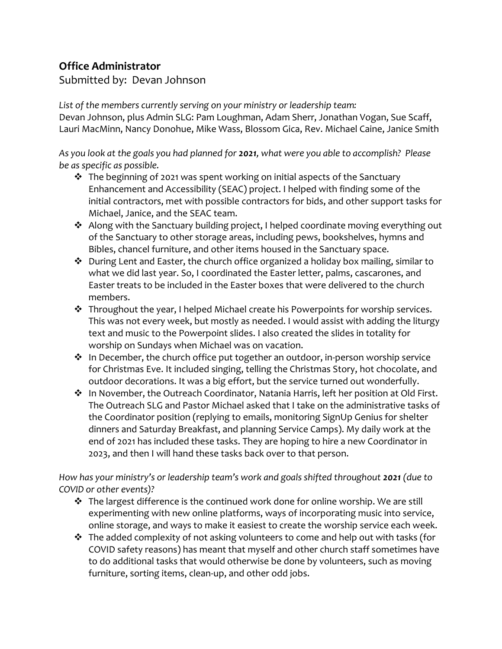## **Office Administrator**

Submitted by: Devan Johnson

*List of the members currently serving on your ministry or leadership team:* Devan Johnson, plus Admin SLG: Pam Loughman, Adam Sherr, Jonathan Vogan, Sue Scaff, Lauri MacMinn, Nancy Donohue, Mike Wass, Blossom Gica, Rev. Michael Caine, Janice Smith

*As you look at the goals you had planned for 2021, what were you able to accomplish? Please be as specific as possible.*

- $\cdot \cdot$  The beginning of 2021 was spent working on initial aspects of the Sanctuary Enhancement and Accessibility (SEAC) project. I helped with finding some of the initial contractors, met with possible contractors for bids, and other support tasks for Michael, Janice, and the SEAC team.
- ❖ Along with the Sanctuary building project, I helped coordinate moving everything out of the Sanctuary to other storage areas, including pews, bookshelves, hymns and Bibles, chancel furniture, and other items housed in the Sanctuary space.
- ❖ During Lent and Easter, the church office organized a holiday box mailing, similar to what we did last year. So, I coordinated the Easter letter, palms, cascarones, and Easter treats to be included in the Easter boxes that were delivered to the church members.
- ❖ Throughout the year, I helped Michael create his Powerpoints for worship services. This was not every week, but mostly as needed. I would assist with adding the liturgy text and music to the Powerpoint slides. I also created the slides in totality for worship on Sundays when Michael was on vacation.
- ❖ In December, the church office put together an outdoor, in-person worship service for Christmas Eve. It included singing, telling the Christmas Story, hot chocolate, and outdoor decorations. It was a big effort, but the service turned out wonderfully.
- ❖ In November, the Outreach Coordinator, Natania Harris, left her position at Old First. The Outreach SLG and Pastor Michael asked that I take on the administrative tasks of the Coordinator position (replying to emails, monitoring SignUp Genius for shelter dinners and Saturday Breakfast, and planning Service Camps). My daily work at the end of 2021 has included these tasks. They are hoping to hire a new Coordinator in 2023, and then I will hand these tasks back over to that person.

*How has your ministry's or leadership team's work and goals shifted throughout 2021 (due to COVID or other events)?*

- ❖ The largest difference is the continued work done for online worship. We are still experimenting with new online platforms, ways of incorporating music into service, online storage, and ways to make it easiest to create the worship service each week.
- ❖ The added complexity of not asking volunteers to come and help out with tasks (for COVID safety reasons) has meant that myself and other church staff sometimes have to do additional tasks that would otherwise be done by volunteers, such as moving furniture, sorting items, clean-up, and other odd jobs.